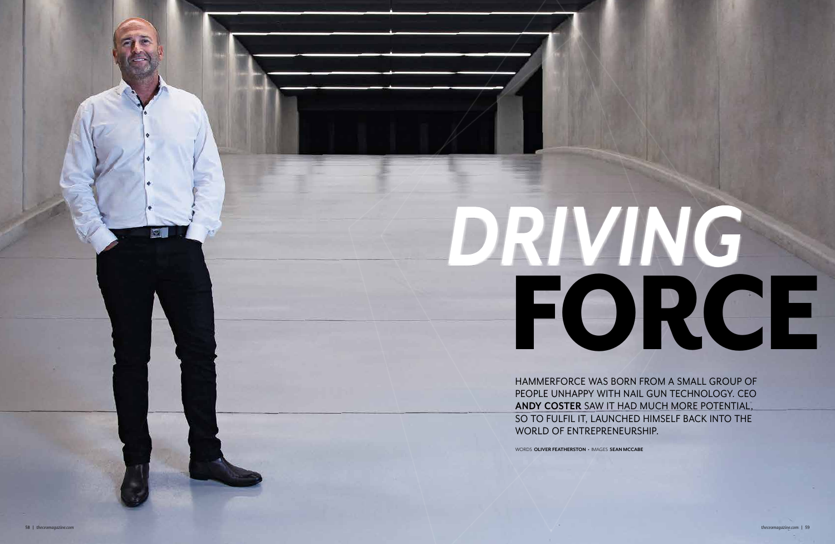HAMMERFORCE WAS BORN FROM A SMALL GROUP OF PEOPLE UNHAPPY WITH NAIL GUN TECHNOLOGY. CEO **ANDY COSTER** SAW IT HAD MUCH MORE POTENTIAL, SO TO FULFIL IT, LAUNCHED HIMSELF BACK INTO THE WORLD OF ENTREPRENEURSHIP.

WORDS **OLIVER FEATHERSTON •** IMAGES **SEAN MCCABE**

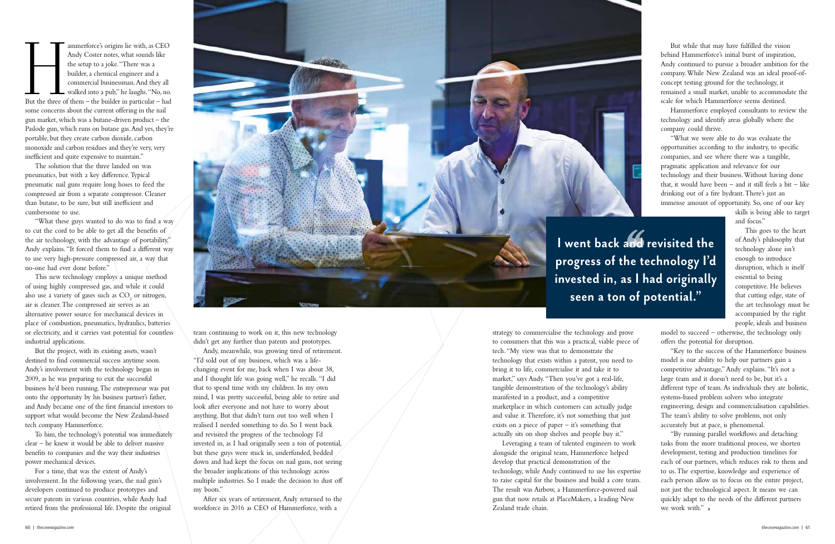ammerforce's origins lie with, as CEO<br>
Andy Coster notes, what sounds like<br>
the setup to a joke. "There was a<br>
builder, a chemical engineer and a<br>
commercial businessman. And they all<br>
walked into a pub," he laughs. "No, n Andy Coster notes, what sounds like the setup to a joke. "There was a builder, a chemical engineer and a commercial businessman. And they all **L** walked into a pub," he laughs. "No, no. some concerns about the current offering in the nail gun market, which was a butane-driven product – the Paslode gun, which runs on butane gas. And yes, they're portable, but they create carbon dioxide, carbon monoxide and carbon residues and they're very, very inefficient and quite expensive to maintain."

The solution that the three landed on was pneumatics, but with a key difference. Typical pneumatic nail guns require long hoses to feed the compressed air from a separate compressor. Cleaner than butane, to be sure, but still inefficient and cumbersome to use.

"What these guys wanted to do was to find a way to cut the cord to be able to get all the benefits of the air technology, with the advantage of portability," Andy explains. "It forced them to find a different way to use very high-pressure compressed air, a way that no-one had ever done before."

This new technology employs a unique method of using highly compressed gas, and while it could also use a variety of gases such as  $CO<sub>2</sub>$  or nitrogen, air is cleaner. The compressed air serves as an alternative power source for mechanical devices in place of combustion, pneumatics, hydraulics, batteries or electricity, and it carries vast potential for countless industrial applications.

But the project, with its existing assets, wasn't destined to find commercial success anytime soon. Andy's involvement with the technology began in 2009, as he was preparing to exit the successful business he'd been running. The entrepreneur was put onto the opportunity by his business partner's father, and Andy became one of the first financial investors to support what would become the New Zealand-based tech company Hammerforce.

To him, the technology's potential was immediately clear – he knew it would be able to deliver massive benefits to companies and the way their industries power mechanical devices.

For a time, that was the extent of Andy's involvement. In the following years, the nail gun's developers continued to produce prototypes and secure patents in various countries, while Andy had retired from the professional life. Despite the original



team continuing to work on it, this new technology didn't get any further than patents and prototypes.

Andy, meanwhile, was growing tired of retirement. "I'd sold out of my business, which was a lifechanging event for me, back when I was about 38, and I thought life was going well," he recalls. "I did that to spend time with my children. In my own mind, I was pretty successful, being able to retire and look after everyone and not have to worry about anything. But that didn't turn out too well when I realised I needed something to do. So I went back and revisited the progress of the technology I'd invested in, as I had originally seen a ton of potential, but these guys were stuck in, underfunded, bedded down and had kept the focus on nail guns, not seeing the broader implications of this technology across multiple industries. So I made the decision to dust off my boots."

"By running parallel workflows and detaching tasks from the more traditional process, we shorten development, testing and production timelines for each of our partners, which reduces risk to them and to us. The expertise, knowledge and experience of each person allow us to focus on the entire project, not just the technological aspect. It means we can quickly adapt to the needs of the different partners we work with."

After six years of retirement, Andy returned to the workforce in 2016 as CEO of Hammerforce, with a

strategy to commercialise the technology and prove to consumers that this was a practical, viable piece of tech. "My view was that to demonstrate the technology that exists within a patent, you need to bring it to life, commercialise it and take it to market," says Andy. "Then you've got a real-life, tangible demonstration of the technology's ability manifested in a product, and a competitive marketplace in which customers can actually judge and value it. Therefore, it's not something that just exists on a piece of paper  $-$  it's something that actually sits on shop shelves and people buy it." Leveraging a team of talented engineers to work alongside the original team, Hammerforce helped

develop that practical demonstration of the technology, while Andy continued to use his expertise to raise capital for the business and build a core team. The result was Airbow, a Hammerforce-powered nail gun that now retails at PlaceMakers, a leading New Zealand trade chain.

But while that may have fulfilled the vision behind Hammerforce's initial burst of inspiration, Andy continued to pursue a broader ambition for the company. While New Zealand was an ideal proof-ofconcept testing ground for the technology, it remained a small market, unable to accommodate the scale for which Hammerforce seems destined.

Hammerforce employed consultants to review the technology and identify areas globally where the company could thrive.

"What we were able to do was evaluate the opportunities according to the industry, to specific companies, and see where there was a tangible, pragmatic application and relevance for our technology and their business. Without having done that, it would have been  $-$  and it still feels a bit  $-$  like drinking out of a fire hydrant. There's just an immense amount of opportunity. So, one of our key

> skills is being able to target and focus."

> This goes to the heart of Andy's philosophy that technology alone isn't enough to introduce disruption, which is itself essential to being competitive. He believes that cutting edge, state of the art technology must be accompanied by the right people, ideals and business

model to succeed – otherwise, the technology only offers the potential for disruption.

"Key to the success of the Hammerforce business model is our ability to help our partners gain a competitive advantage," Andy explains. "It's not a large team and it doesn't need to be, but it's a different type of team. As individuals they are holistic, systems-based problem solvers who integrate engineering, design and commercialisation capabilities. The team's ability to solve problems, not only accurately but at pace, is phenomenal.

**I went back and revisited the progress of the technology I'd invested in, as I had originally seen a ton of potential."**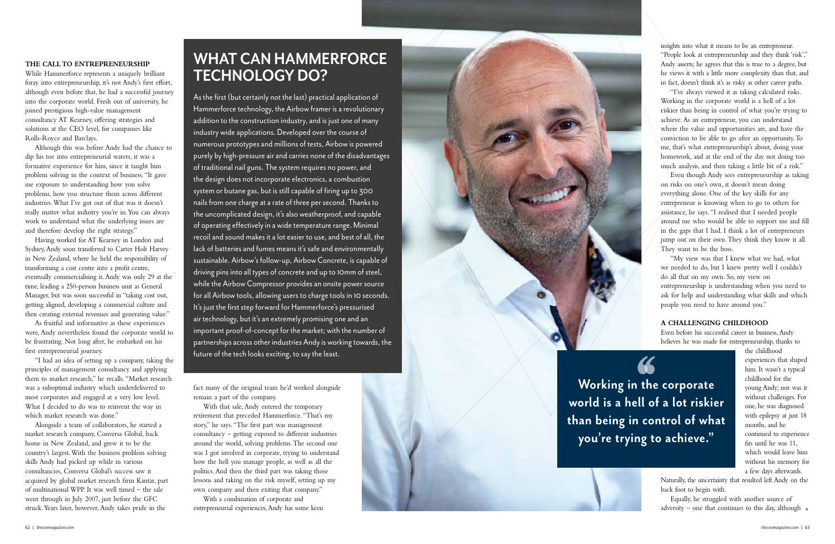### **THE CALL TO ENTREPRENEURSHIP**

While Hammerforce represents a uniquely brilliant foray into entrepreneurship, it's not Andy's first effort, although even before that, he had a successful journey into the corporate world. Fresh out of university, he joined prestigious high-value management consultancy AT Kearney, offering strategies and solutions at the CEO level, for companies like Rolls-Royce and Barclays.

Although this was before Andy had the chance to dip his toe into entrepreneurial waters, it was a formative experience for him, since it taught him problem solving in the context of business. "It gave me exposure to understanding how you solve problems, how you structure them across different industries. What I've got out of that was it doesn't really matter what industry you're in. You can always work to understand what the underlying issues are and therefore develop the right strategy."

Having worked for AT Kearney in London and Sydney, Andy soon transferred to Carter Holt Harvey in New Zealand, where he held the responsibility of transforming a cost centre into a profit centre, eventually commercialising it. Andy was only 29 at the time, leading a 250-person business unit as General Manager, but was soon successful in "taking cost out, getting aligned, developing a commercial culture and then creating external revenues and generating value."

As fruitful and informative as these experiences were, Andy nevertheless found the corporate world to be frustrating. Not long after, he embarked on his first entrepreneurial journey.

"I had an idea of setting up a company, taking the principles of management consultancy and applying them to market research," he recalls. "Market research was a suboptimal industry which underdelivered to most corporates and engaged at a very low level. What I decided to do was to reinvent the way in which market research was done."

Alongside a team of collaborators, he started a market research company, Conversa Global, back home in New Zealand, and grew it to be the country's largest. With the business problem solving skills Andy had picked up while in various consultancies, Conversa Global's success saw it acquired by global market research firm Kantar, part of multinational WPP. It was well timed – the sale went through in July 2007, just before the GFC struck. Years later, however, Andy takes pride in the

fact many of the original team he'd worked alongside remain a part of the company.

> Equally, he struggled with another source of adversity – one that continues to this day, although  $*$

With that sale, Andy entered the temporary retirement that preceded Hammerforce. "That's my story," he says. "The first part was management consultancy – getting exposed to different industries around the world, solving problems. The second one was I got involved in corporate, trying to understand how the hell you manage people, as well as all the politics. And then the third part was taking those lessons and taking on the risk myself, setting up my own company and then exiting that company."

With a combination of corporate and entrepreneurial experiences, Andy has some keen

insights into what it means to be an entrepreneur. "People look at entrepreneurship and they think 'risk'," Andy asserts; he agrees that this is true to a degree, but he views it with a little more complexity than that, and in fact, doesn't think it's as risky as other career paths.

"I've always viewed it as taking calculated risks. Working in the corporate world is a hell of a lot riskier than being in control of what you're trying to achieve. As an entrepreneur, you can understand where the value and opportunities are, and have the conviction to be able to go after an opportunity. To me, that's what entrepreneurship's about, doing your homework, and at the end of the day not doing too much analysis, and then taking a little bit of a risk."

Even though Andy sees entrepreneurship as taking on risks on one's own, it doesn't mean doing everything alone. One of the key skills for any entrepreneur is knowing when to go to others for assistance, he says. "I realised that I needed people around me who would be able to support me and fill in the gaps that I had. I think a lot of entrepreneurs jump out on their own. They think they know it all. They want to be the boss.

"My view was that I knew what we had, what we needed to do, but I knew pretty well I couldn't do all that on my own. So, my view on entrepreneurship is understanding when you need to ask for help and understanding what skills and which people you need to have around you."

## **A CHALLENGING CHILDHOOD**

Even before his successful career in business, Andy believes he was made for entrepreneurship, thanks to

> the childhood experiences that shaped him. It wasn't a typical childhood for the young Andy; nor was it without challenges. For one, he was diagnosed with epilepsy at just 18 months, and he continued to experience fits until he was 11, which would leave him without his memory for a few days afterwards.

Naturally, the uncertainty that resulted left Andy on the back foot to begin with.

# **WHAT CAN HAMMERFORCE TECHNOLOGY DO?**

As the first (but certainly not the last) practical application of Hammerforce technology, the Airbow framer is a revolutionary addition to the construction industry, and is just one of many industry wide applications. Developed over the course of numerous prototypes and millions of tests, Airbow is powered purely by high-pressure air and carries none of the disadvantages of traditional nail guns. The system requires no power, and the design does not incorporate electronics, a combustion system or butane gas, but is still capable of firing up to 300 nails from one charge at a rate of three per second. Thanks to the uncomplicated design, it's also weatherproof, and capable of operating effectively in a wide temperature range. Minimal recoil and sound makes it a lot easier to use, and best of all, the lack of batteries and fumes means it's safe and environmentally sustainable. Airbow's follow-up, Airbow Concrete, is capable of driving pins into all types of concrete and up to 10mm of steel, while the Airbow Compressor provides an onsite power source for all Airbow tools, allowing users to charge tools in 10 seconds. It's just the first step forward for Hammerforce's pressurised air technology, but it's an extremely promising one and an important proof-of-concept for the market; with the number of partnerships across other industries Andy is working towards, the future of the tech looks exciting, to say the least.

> **Working in the corporate world is a hell of a lot riskier than being in control of what you're trying to achieve."**